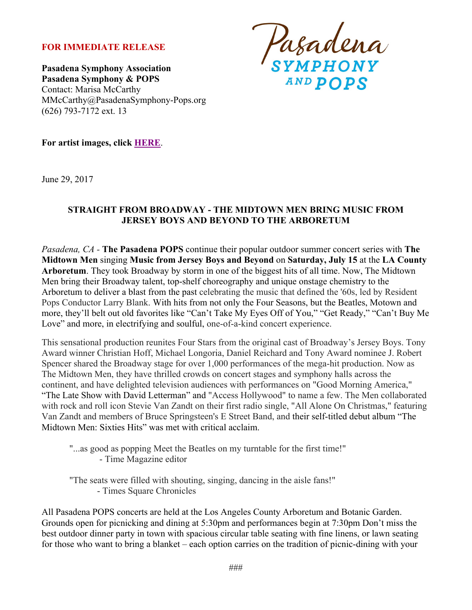## **FOR IMMEDIATE RELEASE**

**Pasadena Symphony Association Pasadena Symphony & POPS** Contact: Marisa McCarthy MMcCarthy@PasadenaSymphony-Pops.org (626) 793-7172 ext. 13

Pasadena<br>symphony

**For artist images, click HERE**.

June 29, 2017

#### **STRAIGHT FROM BROADWAY - THE MIDTOWN MEN BRING MUSIC FROM JERSEY BOYS AND BEYOND TO THE ARBORETUM**

*Pasadena, CA -* **The Pasadena POPS** continue their popular outdoor summer concert series with **The Midtown Men** singing **Music from Jersey Boys and Beyond** on **Saturday, July 15** at the **LA County Arboretum**. They took Broadway by storm in one of the biggest hits of all time. Now, The Midtown Men bring their Broadway talent, top-shelf choreography and unique onstage chemistry to the Arboretum to deliver a blast from the past celebrating the music that defined the '60s, led by Resident Pops Conductor Larry Blank. With hits from not only the Four Seasons, but the Beatles, Motown and more, they'll belt out old favorites like "Can't Take My Eyes Off of You," "Get Ready," "Can't Buy Me Love" and more, in electrifying and soulful, one-of-a-kind concert experience.

This sensational production reunites Four Stars from the original cast of Broadway's Jersey Boys. Tony Award winner Christian Hoff, Michael Longoria, Daniel Reichard and Tony Award nominee J. Robert Spencer shared the Broadway stage for over 1,000 performances of the mega-hit production. Now as The Midtown Men, they have thrilled crowds on concert stages and symphony halls across the continent, and have delighted television audiences with performances on "Good Morning America," "The Late Show with David Letterman" and "Access Hollywood" to name a few. The Men collaborated with rock and roll icon Stevie Van Zandt on their first radio single, "All Alone On Christmas," featuring Van Zandt and members of Bruce Springsteen's E Street Band, and their self-titled debut album "The Midtown Men: Sixties Hits" was met with critical acclaim.

"...as good as popping Meet the Beatles on my turntable for the first time!" - Time Magazine editor

"The seats were filled with shouting, singing, dancing in the aisle fans!" - Times Square Chronicles

All Pasadena POPS concerts are held at the Los Angeles County Arboretum and Botanic Garden. Grounds open for picnicking and dining at 5:30pm and performances begin at 7:30pm Don't miss the best outdoor dinner party in town with spacious circular table seating with fine linens, or lawn seating for those who want to bring a blanket – each option carries on the tradition of picnic-dining with your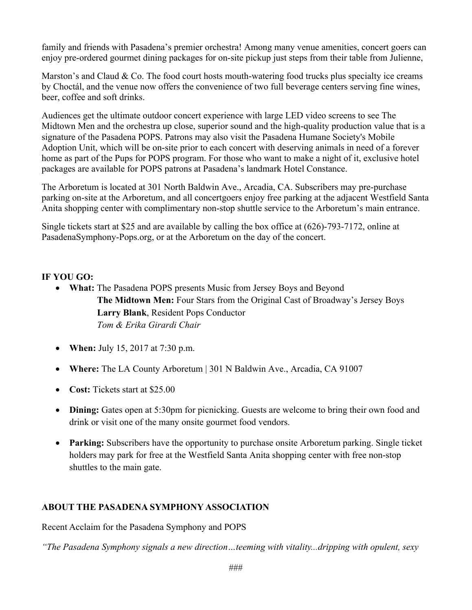family and friends with Pasadena's premier orchestra! Among many venue amenities, concert goers can enjoy pre-ordered gourmet dining packages for on-site pickup just steps from their table from Julienne,

Marston's and Claud  $& Co.$  The food court hosts mouth-watering food trucks plus specialty ice creams by Choctál, and the venue now offers the convenience of two full beverage centers serving fine wines, beer, coffee and soft drinks.

Audiences get the ultimate outdoor concert experience with large LED video screens to see The Midtown Men and the orchestra up close, superior sound and the high-quality production value that is a signature of the Pasadena POPS. Patrons may also visit the Pasadena Humane Society's Mobile Adoption Unit, which will be on-site prior to each concert with deserving animals in need of a forever home as part of the Pups for POPS program. For those who want to make a night of it, exclusive hotel packages are available for POPS patrons at Pasadena's landmark Hotel Constance.

The Arboretum is located at 301 North Baldwin Ave., Arcadia, CA. Subscribers may pre-purchase parking on-site at the Arboretum, and all concertgoers enjoy free parking at the adjacent Westfield Santa Anita shopping center with complimentary non-stop shuttle service to the Arboretum's main entrance.

Single tickets start at \$25 and are available by calling the box office at (626)-793-7172, online at PasadenaSymphony-Pops.org, or at the Arboretum on the day of the concert.

# **IF YOU GO:**

- **What:** The Pasadena POPS presents Music from Jersey Boys and Beyond **The Midtown Men:** Four Stars from the Original Cast of Broadway's Jersey Boys **Larry Blank**, Resident Pops Conductor *Tom & Erika Girardi Chair*
- **When:** July 15, 2017 at 7:30 p.m.
- **Where:** The LA County Arboretum | 301 N Baldwin Ave., Arcadia, CA 91007
- **Cost:** Tickets start at \$25.00
- **Dining:** Gates open at 5:30pm for picnicking. Guests are welcome to bring their own food and drink or visit one of the many onsite gourmet food vendors.
- **Parking:** Subscribers have the opportunity to purchase onsite Arboretum parking. Single ticket holders may park for free at the Westfield Santa Anita shopping center with free non-stop shuttles to the main gate.

# **ABOUT THE PASADENA SYMPHONY ASSOCIATION**

Recent Acclaim for the Pasadena Symphony and POPS

*"The Pasadena Symphony signals a new direction…teeming with vitality...dripping with opulent, sexy*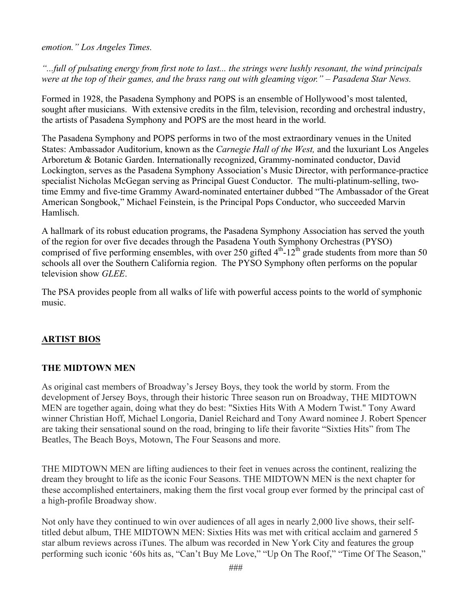*emotion." Los Angeles Times.* 

*"...full of pulsating energy from first note to last... the strings were lushly resonant, the wind principals were at the top of their games, and the brass rang out with gleaming vigor." – Pasadena Star News.*

Formed in 1928, the Pasadena Symphony and POPS is an ensemble of Hollywood's most talented, sought after musicians. With extensive credits in the film, television, recording and orchestral industry, the artists of Pasadena Symphony and POPS are the most heard in the world.

The Pasadena Symphony and POPS performs in two of the most extraordinary venues in the United States: Ambassador Auditorium, known as the *Carnegie Hall of the West,* and the luxuriant Los Angeles Arboretum & Botanic Garden. Internationally recognized, Grammy-nominated conductor, David Lockington, serves as the Pasadena Symphony Association's Music Director, with performance-practice specialist Nicholas McGegan serving as Principal Guest Conductor. The multi-platinum-selling, twotime Emmy and five-time Grammy Award-nominated entertainer dubbed "The Ambassador of the Great American Songbook," Michael Feinstein, is the Principal Pops Conductor, who succeeded Marvin Hamlisch.

A hallmark of its robust education programs, the Pasadena Symphony Association has served the youth of the region for over five decades through the Pasadena Youth Symphony Orchestras (PYSO) comprised of five performing ensembles, with over 250 gifted  $4<sup>th</sup>$ -12<sup>th</sup> grade students from more than 50 schools all over the Southern California region. The PYSO Symphony often performs on the popular television show *GLEE*.

The PSA provides people from all walks of life with powerful access points to the world of symphonic music.

# **ARTIST BIOS**

## **THE MIDTOWN MEN**

As original cast members of Broadway's Jersey Boys, they took the world by storm. From the development of Jersey Boys, through their historic Three season run on Broadway, THE MIDTOWN MEN are together again, doing what they do best: "Sixties Hits With A Modern Twist." Tony Award winner Christian Hoff, Michael Longoria, Daniel Reichard and Tony Award nominee J. Robert Spencer are taking their sensational sound on the road, bringing to life their favorite "Sixties Hits" from The Beatles, The Beach Boys, Motown, The Four Seasons and more.

THE MIDTOWN MEN are lifting audiences to their feet in venues across the continent, realizing the dream they brought to life as the iconic Four Seasons. THE MIDTOWN MEN is the next chapter for these accomplished entertainers, making them the first vocal group ever formed by the principal cast of a high-profile Broadway show.

Not only have they continued to win over audiences of all ages in nearly 2,000 live shows, their selftitled debut album, THE MIDTOWN MEN: Sixties Hits was met with critical acclaim and garnered 5 star album reviews across iTunes. The album was recorded in New York City and features the group performing such iconic '60s hits as, "Can't Buy Me Love," "Up On The Roof," "Time Of The Season,"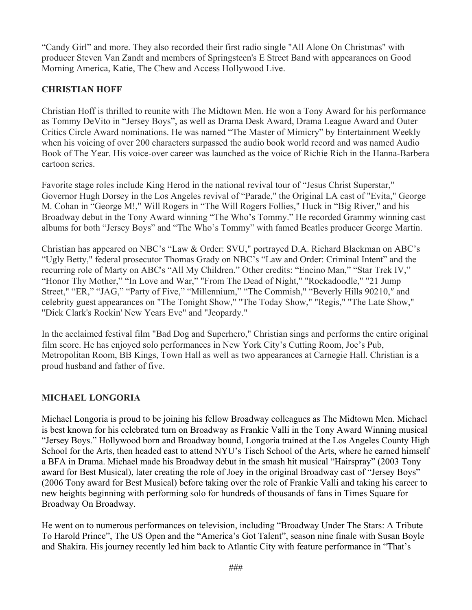"Candy Girl" and more. They also recorded their first radio single "All Alone On Christmas" with producer Steven Van Zandt and members of Springsteen's E Street Band with appearances on Good Morning America, Katie, The Chew and Access Hollywood Live.

# **CHRISTIAN HOFF**

Christian Hoff is thrilled to reunite with The Midtown Men. He won a Tony Award for his performance as Tommy DeVito in "Jersey Boys", as well as Drama Desk Award, Drama League Award and Outer Critics Circle Award nominations. He was named "The Master of Mimicry" by Entertainment Weekly when his voicing of over 200 characters surpassed the audio book world record and was named Audio Book of The Year. His voice-over career was launched as the voice of Richie Rich in the Hanna-Barbera cartoon series.

Favorite stage roles include King Herod in the national revival tour of "Jesus Christ Superstar," Governor Hugh Dorsey in the Los Angeles revival of "Parade," the Original LA cast of "Evita," George M. Cohan in "George M!," Will Rogers in "The Will Rogers Follies," Huck in "Big River," and his Broadway debut in the Tony Award winning "The Who's Tommy." He recorded Grammy winning cast albums for both "Jersey Boys" and "The Who's Tommy" with famed Beatles producer George Martin.

Christian has appeared on NBC's "Law & Order: SVU," portrayed D.A. Richard Blackman on ABC's "Ugly Betty," federal prosecutor Thomas Grady on NBC's "Law and Order: Criminal Intent" and the recurring role of Marty on ABC's "All My Children." Other credits: "Encino Man," "Star Trek IV," "Honor Thy Mother," "In Love and War," "From The Dead of Night," "Rockadoodle," "21 Jump Street," "ER," "JAG," "Party of Five," "Millennium," "The Commish," "Beverly Hills 90210,″ and celebrity guest appearances on "The Tonight Show," "The Today Show," "Regis," "The Late Show," "Dick Clark's Rockin' New Years Eve" and "Jeopardy."

In the acclaimed festival film "Bad Dog and Superhero," Christian sings and performs the entire original film score. He has enjoyed solo performances in New York City's Cutting Room, Joe's Pub, Metropolitan Room, BB Kings, Town Hall as well as two appearances at Carnegie Hall. Christian is a proud husband and father of five.

# **MICHAEL LONGORIA**

Michael Longoria is proud to be joining his fellow Broadway colleagues as The Midtown Men. Michael is best known for his celebrated turn on Broadway as Frankie Valli in the Tony Award Winning musical "Jersey Boys." Hollywood born and Broadway bound, Longoria trained at the Los Angeles County High School for the Arts, then headed east to attend NYU's Tisch School of the Arts, where he earned himself a BFA in Drama. Michael made his Broadway debut in the smash hit musical "Hairspray" (2003 Tony award for Best Musical), later creating the role of Joey in the original Broadway cast of "Jersey Boys" (2006 Tony award for Best Musical) before taking over the role of Frankie Valli and taking his career to new heights beginning with performing solo for hundreds of thousands of fans in Times Square for Broadway On Broadway.

He went on to numerous performances on television, including "Broadway Under The Stars: A Tribute To Harold Prince", The US Open and the "America's Got Talent", season nine finale with Susan Boyle and Shakira. His journey recently led him back to Atlantic City with feature performance in "That's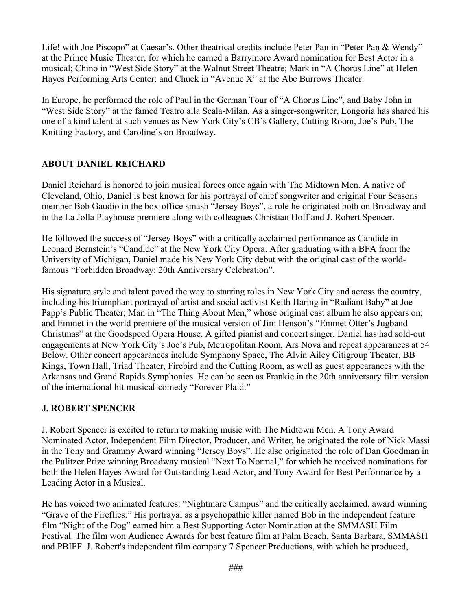Life! with Joe Piscopo" at Caesar's. Other theatrical credits include Peter Pan in "Peter Pan & Wendy" at the Prince Music Theater, for which he earned a Barrymore Award nomination for Best Actor in a musical; Chino in "West Side Story" at the Walnut Street Theatre; Mark in "A Chorus Line" at Helen Hayes Performing Arts Center; and Chuck in "Avenue X" at the Abe Burrows Theater.

In Europe, he performed the role of Paul in the German Tour of "A Chorus Line", and Baby John in "West Side Story" at the famed Teatro alla Scala-Milan. As a singer-songwriter, Longoria has shared his one of a kind talent at such venues as New York City's CB's Gallery, Cutting Room, Joe's Pub, The Knitting Factory, and Caroline's on Broadway.

## **ABOUT DANIEL REICHARD**

Daniel Reichard is honored to join musical forces once again with The Midtown Men. A native of Cleveland, Ohio, Daniel is best known for his portrayal of chief songwriter and original Four Seasons member Bob Gaudio in the box-office smash "Jersey Boys", a role he originated both on Broadway and in the La Jolla Playhouse premiere along with colleagues Christian Hoff and J. Robert Spencer.

He followed the success of "Jersey Boys" with a critically acclaimed performance as Candide in Leonard Bernstein's "Candide" at the New York City Opera. After graduating with a BFA from the University of Michigan, Daniel made his New York City debut with the original cast of the worldfamous "Forbidden Broadway: 20th Anniversary Celebration".

His signature style and talent paved the way to starring roles in New York City and across the country, including his triumphant portrayal of artist and social activist Keith Haring in "Radiant Baby" at Joe Papp's Public Theater; Man in "The Thing About Men," whose original cast album he also appears on; and Emmet in the world premiere of the musical version of Jim Henson's "Emmet Otter's Jugband Christmas" at the Goodspeed Opera House. A gifted pianist and concert singer, Daniel has had sold-out engagements at New York City's Joe's Pub, Metropolitan Room, Ars Nova and repeat appearances at 54 Below. Other concert appearances include Symphony Space, The Alvin Ailey Citigroup Theater, BB Kings, Town Hall, Triad Theater, Firebird and the Cutting Room, as well as guest appearances with the Arkansas and Grand Rapids Symphonies. He can be seen as Frankie in the 20th anniversary film version of the international hit musical-comedy "Forever Plaid."

## **J. ROBERT SPENCER**

J. Robert Spencer is excited to return to making music with The Midtown Men. A Tony Award Nominated Actor, Independent Film Director, Producer, and Writer, he originated the role of Nick Massi in the Tony and Grammy Award winning "Jersey Boys". He also originated the role of Dan Goodman in the Pulitzer Prize winning Broadway musical "Next To Normal," for which he received nominations for both the Helen Hayes Award for Outstanding Lead Actor, and Tony Award for Best Performance by a Leading Actor in a Musical.

He has voiced two animated features: "Nightmare Campus" and the critically acclaimed, award winning "Grave of the Fireflies." His portrayal as a psychopathic killer named Bob in the independent feature film "Night of the Dog" earned him a Best Supporting Actor Nomination at the SMMASH Film Festival. The film won Audience Awards for best feature film at Palm Beach, Santa Barbara, SMMASH and PBIFF. J. Robert's independent film company 7 Spencer Productions, with which he produced,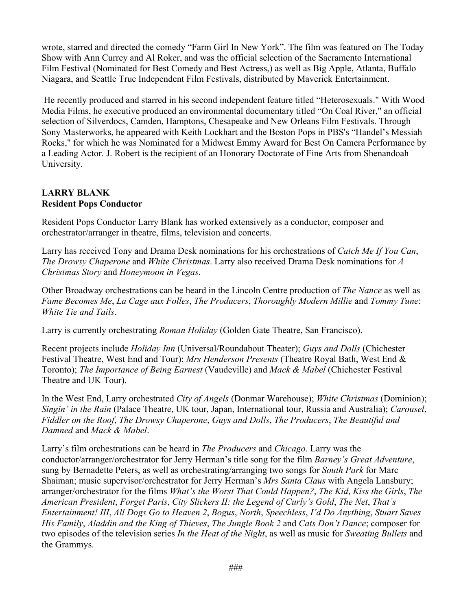wrote, starred and directed the comedy "Farm Girl In New York". The film was featured on The Today Show with Ann Currey and Al Roker, and was the official selection of the Sacramento International Film Festival (Nominated for Best Comedy and Best Actress,) as well as Big Apple, Atlanta, Buffalo Niagara, and Seattle True Independent Film Festivals, distributed by Maverick Entertainment.

He recently produced and starred in his second independent feature titled "Heterosexuals." With Wood Media Films, he executive produced an environmental documentary titled "On Coal River," an official selection of Silverdocs, Camden, Hamptons, Chesapeake and New Orleans Film Festivals. Through Sony Masterworks, he appeared with Keith Lockhart and the Boston Pops in PBS's "Handel's Messiah Rocks," for which he was Nominated for a Midwest Emmy Award for Best On Camera Performance by a Leading Actor. J. Robert is the recipient of an Honorary Doctorate of Fine Arts from Shenandoah University.

## **LARRY BLANK Resident Pops Conductor**

Resident Pops Conductor Larry Blank has worked extensively as a conductor, composer and orchestrator/arranger in theatre, films, television and concerts.

Larry has received Tony and Drama Desk nominations for his orchestrations of *Catch Me If You Can*, *The Drowsy Chaperone* and *White Christmas*. Larry also received Drama Desk nominations for *A Christmas Story* and *Honeymoon in Vegas*.

Other Broadway orchestrations can be heard in the Lincoln Centre production of *The Nance* as well as *Fame Becomes Me*, *La Cage aux Folles*, *The Producers*, *Thoroughly Modern Millie* and *Tommy Tune*: *White Tie and Tails*.

Larry is currently orchestrating *Roman Holiday* (Golden Gate Theatre, San Francisco).

Recent projects include *Holiday Inn* (Universal/Roundabout Theater); *Guys and Dolls* (Chichester Festival Theatre, West End and Tour); *Mrs Henderson Presents* (Theatre Royal Bath, West End & Toronto); *The Importance of Being Earnest* (Vaudeville) and *Mack & Mabel* (Chichester Festival Theatre and UK Tour).

In the West End, Larry orchestrated *City of Angels* (Donmar Warehouse); *White Christmas* (Dominion); *Singin' in the Rain* (Palace Theatre, UK tour, Japan, International tour, Russia and Australia); *Carousel*, *Fiddler on the Roof*, *The Drowsy Chaperone*, *Guys and Dolls*, *The Producers*, *The Beautiful and Damned* and *Mack & Mabel*.

Larry's film orchestrations can be heard in *The Producers* and *Chicago*. Larry was the conductor/arranger/orchestrator for Jerry Herman's title song for the film *Barney's Great Adventure*, sung by Bernadette Peters, as well as orchestrating/arranging two songs for *South Park* for Marc Shaiman; music supervisor/orchestrator for Jerry Herman's *Mrs Santa Claus* with Angela Lansbury; arranger/orchestrator for the films *What's the Worst That Could Happen?*, *The Kid*, *Kiss the Girls*, *The American President*, *Forget Paris*, *City Slickers II: the Legend of Curly's Gold*, *The Net*, *That's Entertainment! III*, *All Dogs Go to Heaven 2*, *Bogus*, *North*, *Speechless*, *I'd Do Anything*, *Stuart Saves His Family*, *Aladdin and the King of Thieves*, *The Jungle Book 2* and *Cats Don't Dance*; composer for two episodes of the television series *In the Heat of the Night*, as well as music for *Sweating Bullets* and the Grammys.